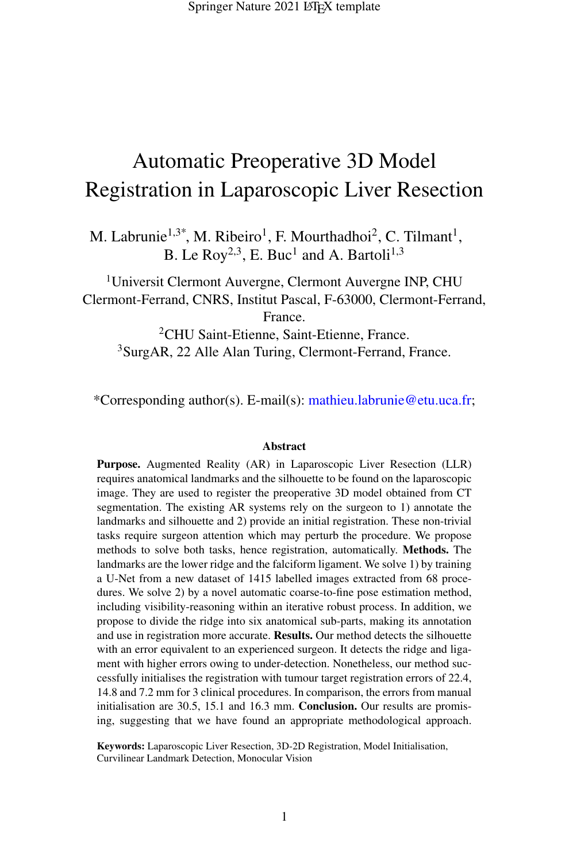# Automatic Preoperative 3D Model Registration in Laparoscopic Liver Resection

M. Labrunie<sup>1,3\*</sup>, M. Ribeiro<sup>1</sup>, F. Mourthadhoi<sup>2</sup>, C. Tilmant<sup>1</sup>, B. Le Roy<sup>2,3</sup>, E. Buc<sup>1</sup> and A. Bartoli<sup>1,3</sup>

<sup>1</sup>Universit Clermont Auvergne, Clermont Auvergne INP, CHU Clermont-Ferrand, CNRS, Institut Pascal, F-63000, Clermont-Ferrand, France.

<sup>2</sup>CHU Saint-Etienne, Saint-Etienne, France. <sup>3</sup>SurgAR, 22 Alle Alan Turing, Clermont-Ferrand, France.

\*Corresponding author(s). E-mail(s): mathieu.labrunie@etu.uca.fr;

#### **Abstract**

Purpose. Augmented Reality (AR) in Laparoscopic Liver Resection (LLR) requires anatomical landmarks and the silhouette to be found on the laparoscopic image. They are used to register the preoperative 3D model obtained from CT segmentation. The existing AR systems rely on the surgeon to 1) annotate the landmarks and silhouette and 2) provide an initial registration. These non-trivial tasks require surgeon attention which may perturb the procedure. We propose methods to solve both tasks, hence registration, automatically. Methods. The landmarks are the lower ridge and the falciform ligament. We solve 1) by training a U-Net from a new dataset of 1415 labelled images extracted from 68 procedures. We solve 2) by a novel automatic coarse-to-fine pose estimation method, including visibility-reasoning within an iterative robust process. In addition, we propose to divide the ridge into six anatomical sub-parts, making its annotation and use in registration more accurate. Results. Our method detects the silhouette with an error equivalent to an experienced surgeon. It detects the ridge and ligament with higher errors owing to under-detection. Nonetheless, our method successfully initialises the registration with tumour target registration errors of 22.4, 14.8 and 7.2 mm for 3 clinical procedures. In comparison, the errors from manual initialisation are 30.5, 15.1 and 16.3 mm. Conclusion. Our results are promising, suggesting that we have found an appropriate methodological approach.

Keywords: Laparoscopic Liver Resection, 3D-2D Registration, Model Initialisation, Curvilinear Landmark Detection, Monocular Vision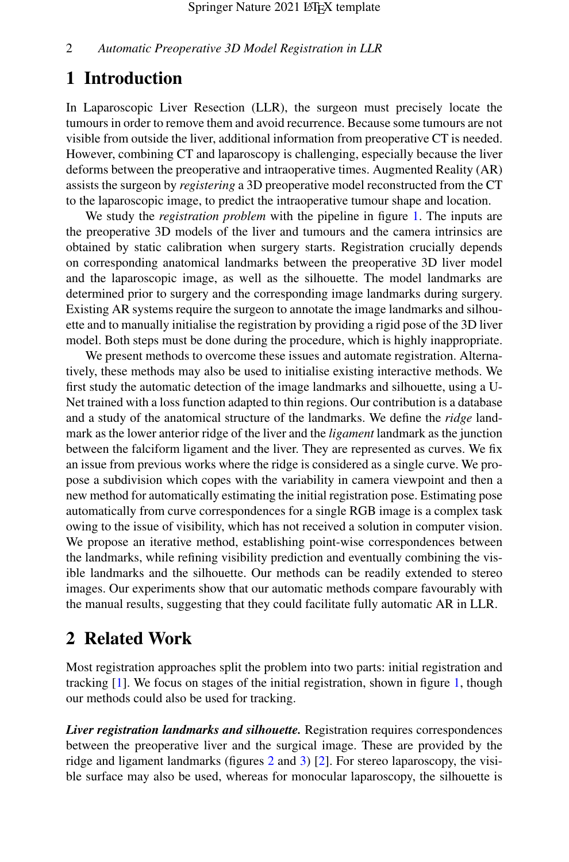### 1 Introduction

In Laparoscopic Liver Resection (LLR), the surgeon must precisely locate the tumours in order to remove them and avoid recurrence. Because some tumours are not visible from outside the liver, additional information from preoperative CT is needed. However, combining CT and laparoscopy is challenging, especially because the liver deforms between the preoperative and intraoperative times. Augmented Reality (AR) assists the surgeon by *registering* a 3D preoperative model reconstructed from the CT to the laparoscopic image, to predict the intraoperative tumour shape and location.

We study the *registration problem* with the pipeline in figure [1.](#page-2-0) The inputs are the preoperative 3D models of the liver and tumours and the camera intrinsics are obtained by static calibration when surgery starts. Registration crucially depends on corresponding anatomical landmarks between the preoperative 3D liver model and the laparoscopic image, as well as the silhouette. The model landmarks are determined prior to surgery and the corresponding image landmarks during surgery. Existing AR systems require the surgeon to annotate the image landmarks and silhouette and to manually initialise the registration by providing a rigid pose of the 3D liver model. Both steps must be done during the procedure, which is highly inappropriate.

We present methods to overcome these issues and automate registration. Alternatively, these methods may also be used to initialise existing interactive methods. We first study the automatic detection of the image landmarks and silhouette, using a U-Net trained with a loss function adapted to thin regions. Our contribution is a database and a study of the anatomical structure of the landmarks. We define the *ridge* landmark as the lower anterior ridge of the liver and the *ligament*landmark as the junction between the falciform ligament and the liver. They are represented as curves. We fix an issue from previous works where the ridge is considered as a single curve. We propose a subdivision which copes with the variability in camera viewpoint and then a new method for automatically estimating the initial registration pose. Estimating pose automatically from curve correspondences for a single RGB image is a complex task owing to the issue of visibility, which has not received a solution in computer vision. We propose an iterative method, establishing point-wise correspondences between the landmarks, while refining visibility prediction and eventually combining the visible landmarks and the silhouette. Our methods can be readily extended to stereo images. Our experiments show that our automatic methods compare favourably with the manual results, suggesting that they could facilitate fully automatic AR in LLR.

### <span id="page-1-0"></span>2 Related Work

Most registration approaches split the problem into two parts: initial registration and tracking [\[1\]](#page-10-0). We focus on stages of the initial registration, shown in figure [1,](#page-2-0) though our methods could also be used for tracking.

*Liver registration landmarks and silhouette.* Registration requires correspondences between the preoperative liver and the surgical image. These are provided by the ridge and ligament landmarks (figures [2](#page-3-0) and [3\)](#page-5-0) [\[2\]](#page-10-1). For stereo laparoscopy, the visible surface may also be used, whereas for monocular laparoscopy, the silhouette is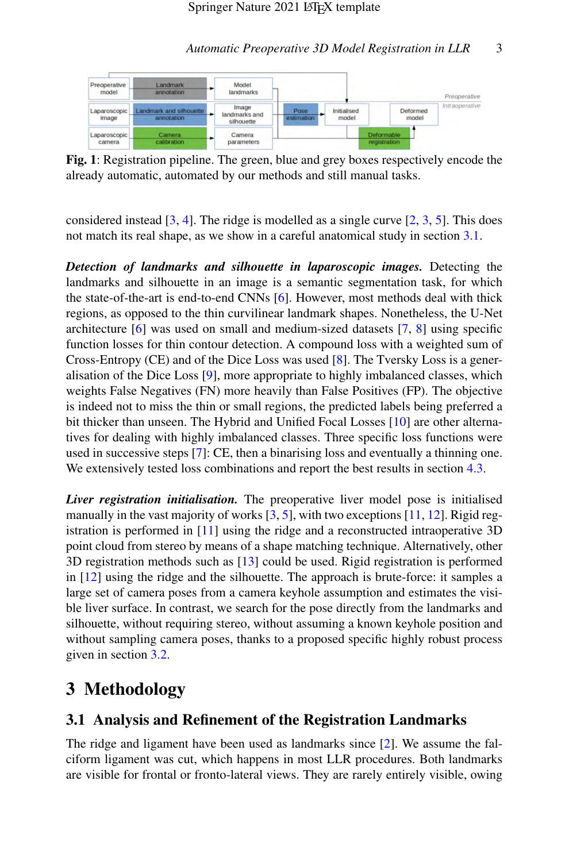<span id="page-2-0"></span>

Fig. 1: Registration pipeline. The green, blue and grey boxes respectively encode the already automatic, automated by our methods and still manual tasks.

considered instead  $[3, 4]$  $[3, 4]$  $[3, 4]$ . The ridge is modelled as a single curve  $[2, 3, 5]$  $[2, 3, 5]$  $[2, 3, 5]$  $[2, 3, 5]$  $[2, 3, 5]$ . This does not match its real shape, as we show in a careful anatomical study in section [3.1.](#page-2-1)

*Detection of landmarks and silhouette in laparoscopic images.* Detecting the landmarks and silhouette in an image is a semantic segmentation task, for which the state-of-the-art is end-to-end CNNs [\[6\]](#page-10-5). However, most methods deal with thick regions, as opposed to the thin curvilinear landmark shapes. Nonetheless, the U-Net architecture  $\lceil 6 \rceil$  was used on small and medium-sized datasets  $\lceil 7, 8 \rceil$  using specific function losses for thin contour detection. A compound loss with a weighted sum of Cross-Entropy (CE) and of the Dice Loss was used [\[8\]](#page-11-0). The Tversky Loss is a generalisation of the Dice Loss [\[9\]](#page-11-1), more appropriate to highly imbalanced classes, which weights False Negatives (FN) more heavily than False Positives (FP). The objective is indeed not to miss the thin or small regions, the predicted labels being preferred a bit thicker than unseen. The Hybrid and Unified Focal Losses [\[10\]](#page-11-2) are other alternatives for dealing with highly imbalanced classes. Three specific loss functions were used in successive steps [\[7\]](#page-10-6): CE, then a binarising loss and eventually a thinning one. We extensively tested loss combinations and report the best results in section [4.3.](#page-7-0)

*Liver registration initialisation.* The preoperative liver model pose is initialised manually in the vast majority of works  $[3, 5]$  $[3, 5]$  $[3, 5]$ , with two exceptions  $[11, 12]$  $[11, 12]$  $[11, 12]$ . Rigid registration is performed in [\[11\]](#page-11-3) using the ridge and a reconstructed intraoperative 3D point cloud from stereo by means of a shape matching technique. Alternatively, other 3D registration methods such as [\[13\]](#page-11-5) could be used. Rigid registration is performed in [\[12\]](#page-11-4) using the ridge and the silhouette. The approach is brute-force: it samples a large set of camera poses from a camera keyhole assumption and estimates the visible liver surface. In contrast, we search for the pose directly from the landmarks and silhouette, without requiring stereo, without assuming a known keyhole position and without sampling camera poses, thanks to a proposed specific highly robust process given in section [3.2.](#page-3-1)

### 3 Methodology

### <span id="page-2-1"></span>3.1 Analysis and Refinement of the Registration Landmarks

The ridge and ligament have been used as landmarks since [\[2\]](#page-10-1). We assume the falciform ligament was cut, which happens in most LLR procedures. Both landmarks are visible for frontal or fronto-lateral views. They are rarely entirely visible, owing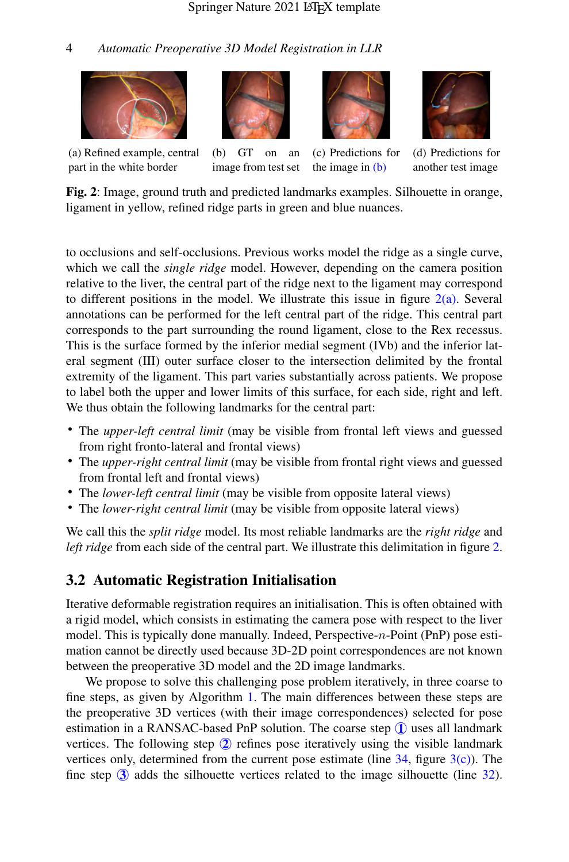<span id="page-3-0"></span>







(a) Refined example, central part in the white border

(b) GT on an image from test set

(c) Predictions for the image in [\(b\)](#page-3-0)

(d) Predictions for another test image

Fig. 2: Image, ground truth and predicted landmarks examples. Silhouette in orange, ligament in yellow, refined ridge parts in green and blue nuances.

to occlusions and self-occlusions. Previous works model the ridge as a single curve, which we call the *single ridge* model. However, depending on the camera position relative to the liver, the central part of the ridge next to the ligament may correspond to different positions in the model. We illustrate this issue in figure  $2(a)$ . Several annotations can be performed for the left central part of the ridge. This central part corresponds to the part surrounding the round ligament, close to the Rex recessus. This is the surface formed by the inferior medial segment (IVb) and the inferior lateral segment (III) outer surface closer to the intersection delimited by the frontal extremity of the ligament. This part varies substantially across patients. We propose to label both the upper and lower limits of this surface, for each side, right and left. We thus obtain the following landmarks for the central part:

- The *upper-left central limit* (may be visible from frontal left views and guessed from right fronto-lateral and frontal views)
- The *upper-right central limit* (may be visible from frontal right views and guessed from frontal left and frontal views)
- The *lower-left central limit* (may be visible from opposite lateral views)
- The *lower-right central limit* (may be visible from opposite lateral views)

We call this the *split ridge* model. Its most reliable landmarks are the *right ridge* and *left ridge* from each side of the central part. We illustrate this delimitation in figure [2.](#page-3-0)

### <span id="page-3-1"></span>3.2 Automatic Registration Initialisation

Iterative deformable registration requires an initialisation. This is often obtained with a rigid model, which consists in estimating the camera pose with respect to the liver model. This is typically done manually. Indeed, Perspective-n-Point (PnP) pose estimation cannot be directly used because 3D-2D point correspondences are not known between the preoperative 3D model and the 2D image landmarks.

We propose to solve this challenging pose problem iteratively, in three coarse to fine steps, as given by Algorithm [1.](#page-4-0) The main differences between these steps are the preoperative 3D vertices (with their image correspondences) selected for pose estimation in a RANSAC-based PnP solution. The coarse step  $\overline{1}$  uses all landmark vertices. The following step 2 refines pose iteratively using the visible landmark vertices only, determined from the current pose estimate (line  $34$ , figure  $3(c)$ ). The fine step  $\circled{3}$  adds the silhouette vertices related to the image silhouette (line [32\)](#page-4-2).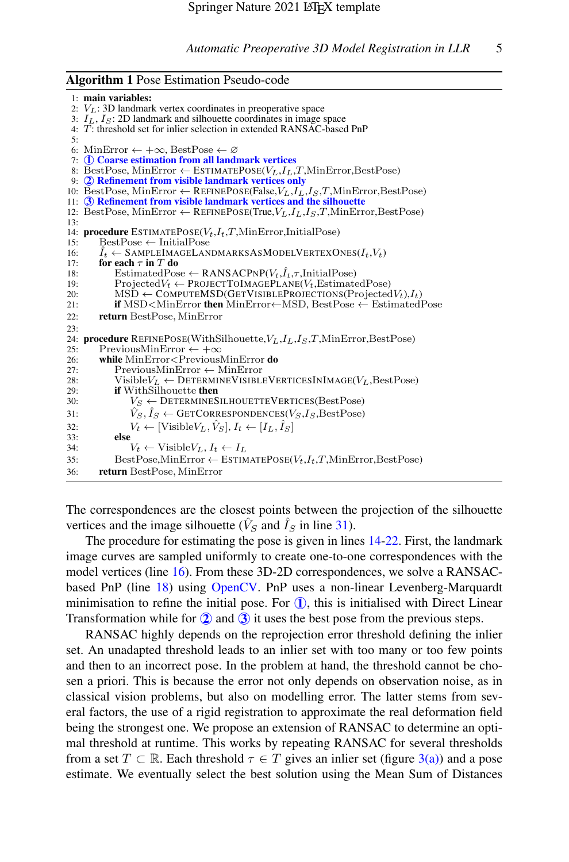<span id="page-4-0"></span>Algorithm 1 Pose Estimation Pseudo-code

```
1: main variables:
 2: V_L: 3D landmark vertex coordinates in preoperative space
 3: I_L, I_S: 2D landmark and silhouette coordinates in image space
 4: T: threshold set for inlier selection in extended RANSAC-based PnP
 5:
 6: MinError ← +\infty, BestPose ← ∅
 7: 
1 Coarse estimation from all landmark vertices
 8: BestPose, MinError \leftarrow ESTIMATEPOSE(V_L, I_L, T, MinError, BestPose)
 9: 
2 Refinement from visible landmark vertices only
10: BestPose, MinError \leftarrow REFINEPOSE(False, V_L, I_L, I_S, T, MinError, BestPose)
11: 
3 Refinement from visible landmark vertices and the silhouette
12: BestPose, MinError ← REFINEPOSE(True, V_L, I_L, I_S, T, MinError, BestPose)
13.14: procedure ESTIMATEPOSE(V_t, I_t, T, MinError, InitialPose)<br>15: BestPose \leftarrow InitialPose
15: BestPose ← InitialPose<br>16: \hat{I}_t ← SAMPLEIMAGELAN
16: \hat{I}_t \leftarrow SAMPLEIMAGELANDMARKSASMODELVERTEXONES(I_t, V_t)<br>17: for each \tau in T do
17: for each \tau in T do<br>18: EstimatedPos
18: EstimatedPose ← RANSACPNP(V_t,\hat{l}_t,\tau,InitialPose)<br>19: ProjectedV_t ← PROJECTTOIMAGEPLANE(V_t.Estimate
19: ProjectedV_t \leftarrow \text{PROJECTTOLMAGEPLANE}(V_t, EstimatedPose)<br>20: MSD ← COMPUTEMSD(GETVISIBLEPROJECTIONS(Projected
20: MSD ← COMPUTEMSD(GETVISIBLEPROJECTIONS(ProjectedV<sub>t</sub>),I_t)<br>21: if MSD<MinError then MinError←MSD BestPose ← EstimatedI
              if MSD<MinError then MinError←MSD, BestPose ← EstimatedPose
22: return BestPose, MinError
23.24: procedure REFINEPOSE(WithSilhouette,V_L, I_L, I_S, T,MinError,BestPose)<br>25: PreviousMinError \leftarrow +\infty25: PreviousMinError ← +\infty<br>26: while MinError<Previous
26: while MinError < Previous MinError do<br>27: Previous MinError ← MinError
27: PreviousMinError ← MinError<br>
28: Visible V_r \leftarrow DETERMINE VISIBLE
28: Visible V_L \leftarrow DETERMINE VISIBLE VERTICES IN IMAGE(V_L, Best Pose)<br>29: if With Silhouette then
29: if WithSilhouette then<br>30: V_s \leftarrow DETERMINES
                  V_S \leftarrow DETERMINESILHOUETTEVERTICES(BestPose)
31: \hat{V}_S, \hat{I}_S \leftarrow \text{GETCORRESPONDENCES}(V_S, I_S, \text{BestPose})32: V_t \leftarrow [\text{Visible}V_L, V_S], I_t \leftarrow [I_L, I_S]<br>33: else
33: else
34: V_t \leftarrow \text{Visible} V_L, I_t \leftarrow I_L<br>35: Best Pose, Min Error \leftarrow ESTIM
              BestPose, MinError \leftarrow ESTIMATEPOSE(V_t,I_t,T,MinError,BestPose)36: return BestPose, MinError
```
<span id="page-4-9"></span><span id="page-4-5"></span><span id="page-4-3"></span><span id="page-4-2"></span><span id="page-4-1"></span>The correspondences are the closest points between the projection of the silhouette vertices and the image silhouette ( $\hat{V}_S$  and  $\hat{I}_S$  in line [31\)](#page-4-3).

The procedure for estimating the pose is given in lines [14](#page-4-4)[-22.](#page-4-5) First, the landmark image curves are sampled uniformly to create one-to-one correspondences with the model vertices (line [16\)](#page-4-6). From these 3D-2D correspondences, we solve a RANSACbased PnP (line [18\)](#page-4-7) using [OpenCV.](https://docs.opencv.org/4.5.3/d9/d0c/group__calib3d.html) PnP uses a non-linear Levenberg-Marquardt minimisation to refine the initial pose. For  $(1)$ , this is initialised with Direct Linear Transformation while for  $(2)$  and  $(3)$  it uses the best pose from the previous steps.

RANSAC highly depends on the reprojection error threshold defining the inlier set. An unadapted threshold leads to an inlier set with too many or too few points and then to an incorrect pose. In the problem at hand, the threshold cannot be chosen a priori. This is because the error not only depends on observation noise, as in classical vision problems, but also on modelling error. The latter stems from several factors, the use of a rigid registration to approximate the real deformation field being the strongest one. We propose an extension of RANSAC to determine an optimal threshold at runtime. This works by repeating RANSAC for several thresholds from a set  $T \subset \mathbb{R}$ . Each threshold  $\tau \in T$  gives an inlier set (figure [3\(a\)\)](#page-5-0) and a pose estimate. We eventually select the best solution using the Mean Sum of Distances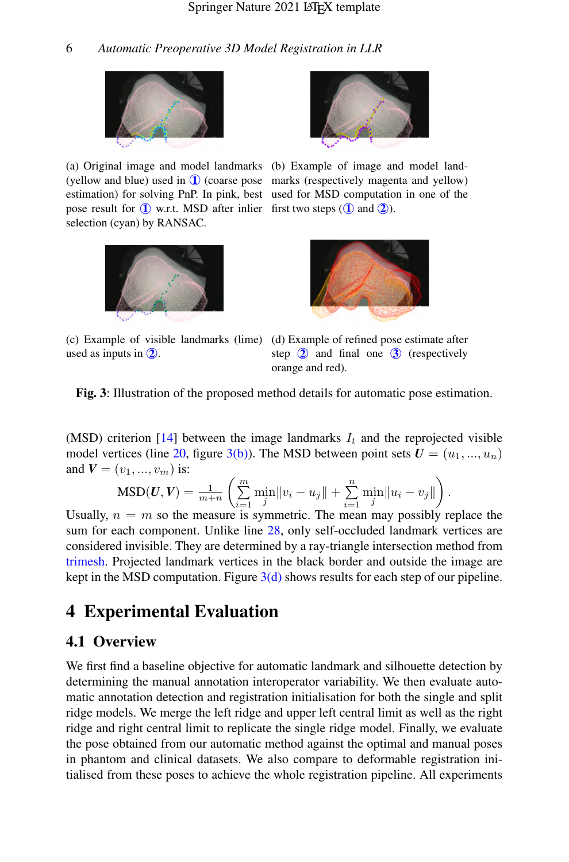<span id="page-5-0"></span>

(a) Original image and model landmarks (b) Example of image and model land-(yellow and blue) used in  $\bf{1}$  (coarse pose marks (respectively magenta and yellow) estimation) for solving PnP. In pink, best used for MSD computation in one of the pose result for  $\bf{1}$  w.r.t. MSD after inlier first two steps  $(\bf{1}$  and  $\bf{2})$ . selection (cyan) by RANSAC.



used as inputs in  $\mathcal{Q}$ .



(c) Example of visible landmarks (lime) (d) Example of refined pose estimate after step  $\odot$  and final one  $\odot$  (respectively orange and red).

Fig. 3: Illustration of the proposed method details for automatic pose estimation.

(MSD) criterion [\[14\]](#page-11-6) between the image landmarks  $I_t$  and the reprojected visible model vertices (line [20,](#page-4-8) figure [3\(b\)\)](#page-5-0). The MSD between point sets  $U = (u_1, ..., u_n)$ and  $V = (v_1, ..., v_m)$  is:

$$
\text{MSD}(U, V) = \frac{1}{m+n} \left( \sum_{i=1}^m \min_j ||v_i - u_j|| + \sum_{i=1}^n \min_j ||u_i - v_j|| \right).
$$

Usually,  $n = m$  so the measure is symmetric. The mean may possibly replace the sum for each component. Unlike line [28,](#page-4-9) only self-occluded landmark vertices are considered invisible. They are determined by a ray-triangle intersection method from [trimesh.](https://trimsh.org/trimesh.ray.ray_pyembree.html) Projected landmark vertices in the black border and outside the image are kept in the MSD computation. Figure  $3(d)$  shows results for each step of our pipeline.

# 4 Experimental Evaluation

#### 4.1 Overview

We first find a baseline objective for automatic landmark and silhouette detection by determining the manual annotation interoperator variability. We then evaluate automatic annotation detection and registration initialisation for both the single and split ridge models. We merge the left ridge and upper left central limit as well as the right ridge and right central limit to replicate the single ridge model. Finally, we evaluate the pose obtained from our automatic method against the optimal and manual poses in phantom and clinical datasets. We also compare to deformable registration initialised from these poses to achieve the whole registration pipeline. All experiments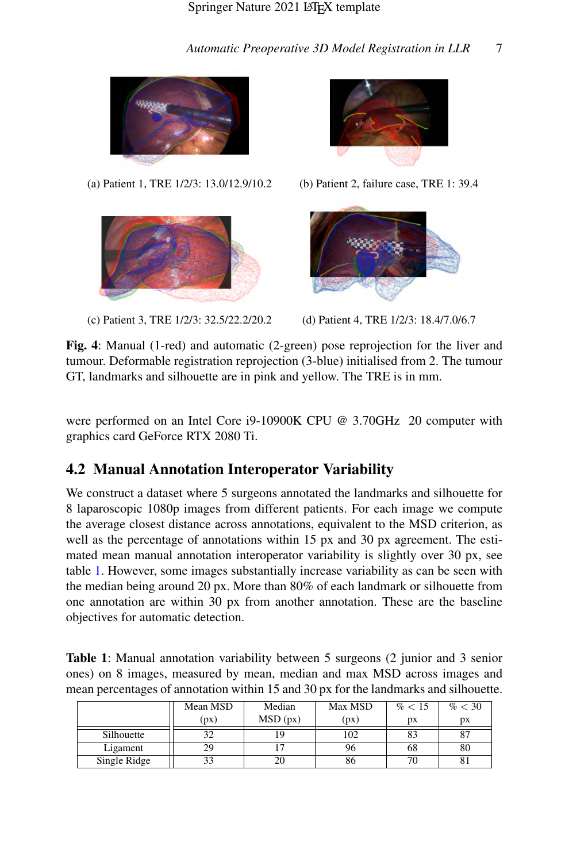<span id="page-6-1"></span>

(a) Patient 1, TRE 1/2/3: 13.0/12.9/10.2 (b) Patient 2, failure case, TRE 1: 39.4



(c) Patient 3, TRE 1/2/3: 32.5/22.2/20.2 (d) Patient 4, TRE 1/2/3: 18.4/7.0/6.7





Fig. 4: Manual (1-red) and automatic (2-green) pose reprojection for the liver and tumour. Deformable registration reprojection (3-blue) initialised from 2. The tumour GT, landmarks and silhouette are in pink and yellow. The TRE is in mm.

were performed on an Intel Core i9-10900K CPU @ 3.70GHz 20 computer with graphics card GeForce RTX 2080 Ti.

### 4.2 Manual Annotation Interoperator Variability

We construct a dataset where 5 surgeons annotated the landmarks and silhouette for 8 laparoscopic 1080p images from different patients. For each image we compute the average closest distance across annotations, equivalent to the MSD criterion, as well as the percentage of annotations within 15 px and 30 px agreement. The estimated mean manual annotation interoperator variability is slightly over 30 px, see table [1.](#page-6-0) However, some images substantially increase variability as can be seen with the median being around 20 px. More than 80% of each landmark or silhouette from one annotation are within 30 px from another annotation. These are the baseline objectives for automatic detection.

<span id="page-6-0"></span>Table 1: Manual annotation variability between 5 surgeons (2 junior and 3 senior ones) on 8 images, measured by mean, median and max MSD across images and mean percentages of annotation within 15 and 30 px for the landmarks and silhouette.

|              | Mean MSD | Median   | Max MSD | % < 15 | % < 30 |
|--------------|----------|----------|---------|--------|--------|
|              | (pX)     | MSD (px) | (pX)    | pх     | pх     |
| Silhouette   |          |          | 102     | 83     |        |
| Ligament     |          |          | 96      | 68     | 80     |
| Single Ridge |          |          | 86      | 70     |        |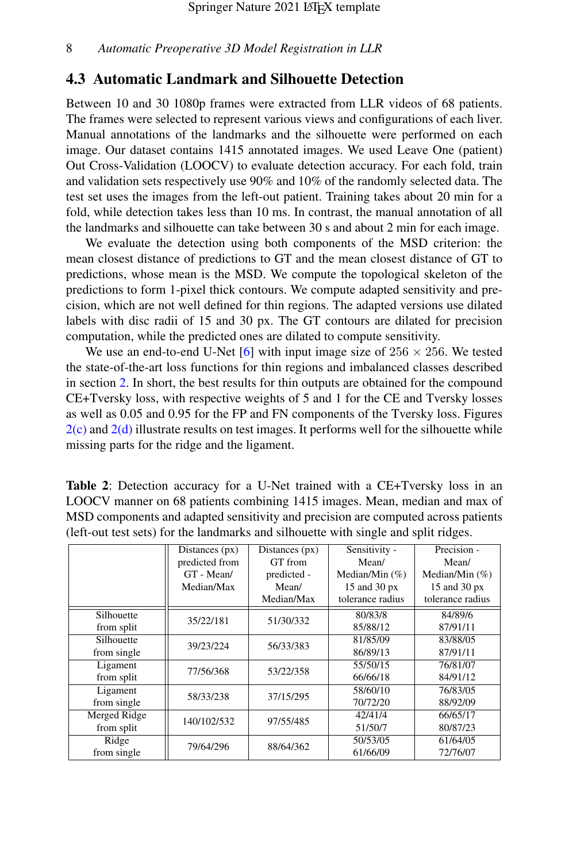#### <span id="page-7-0"></span>4.3 Automatic Landmark and Silhouette Detection

Between 10 and 30 1080p frames were extracted from LLR videos of 68 patients. The frames were selected to represent various views and configurations of each liver. Manual annotations of the landmarks and the silhouette were performed on each image. Our dataset contains 1415 annotated images. We used Leave One (patient) Out Cross-Validation (LOOCV) to evaluate detection accuracy. For each fold, train and validation sets respectively use 90% and 10% of the randomly selected data. The test set uses the images from the left-out patient. Training takes about 20 min for a fold, while detection takes less than 10 ms. In contrast, the manual annotation of all the landmarks and silhouette can take between 30 s and about 2 min for each image.

We evaluate the detection using both components of the MSD criterion: the mean closest distance of predictions to GT and the mean closest distance of GT to predictions, whose mean is the MSD. We compute the topological skeleton of the predictions to form 1-pixel thick contours. We compute adapted sensitivity and precision, which are not well defined for thin regions. The adapted versions use dilated labels with disc radii of 15 and 30 px. The GT contours are dilated for precision computation, while the predicted ones are dilated to compute sensitivity.

We use an end-to-end U-Net [\[6\]](#page-10-5) with input image size of  $256 \times 256$ . We tested the state-of-the-art loss functions for thin regions and imbalanced classes described in section [2.](#page-1-0) In short, the best results for thin outputs are obtained for the compound CE+Tversky loss, with respective weights of 5 and 1 for the CE and Tversky losses as well as 0.05 and 0.95 for the FP and FN components of the Tversky loss. Figures  $2(c)$  and  $2(d)$  illustrate results on test images. It performs well for the silhouette while missing parts for the ridge and the ligament.

<span id="page-7-1"></span>

| <b>Table 2:</b> Detection accuracy for a U-Net trained with a CE+Tversky loss in an |
|-------------------------------------------------------------------------------------|
| LOOCV manner on 68 patients combining 1415 images. Mean, median and max of          |
| MSD components and adapted sensitivity and precision are computed across patients   |
| (left-out test sets) for the landmarks and silhouette with single and split ridges. |

|              | Distances $(px)$ | Distances (px) | Sensitivity -     | Precision -        |
|--------------|------------------|----------------|-------------------|--------------------|
|              | predicted from   | GT from        | Mean/             | Mean/              |
|              | GT - Mean/       | predicted -    | Median/Min $(\%)$ | Median/Min $(\% )$ |
|              | Median/Max       | Mean/          | 15 and 30 px      | 15 and 30 px       |
|              |                  | Median/Max     | tolerance radius  | tolerance radius   |
| Silhouette   | 35/22/181        | 51/30/332      | 80/83/8           | 84/89/6            |
| from split   |                  |                | 85/88/12          | 87/91/11           |
| Silhouette   | 39/23/224        | 56/33/383      | 81/85/09          | 83/88/05           |
| from single  |                  |                | 86/89/13          | 87/91/11           |
| Ligament     | 77/56/368        | 53/22/358      | 55/50/15          | 76/81/07           |
| from split   |                  |                | 66/66/18          | 84/91/12           |
| Ligament     | 58/33/238        | 37/15/295      | 58/60/10          | 76/83/05           |
| from single  |                  |                | 70/72/20          | 88/92/09           |
| Merged Ridge | 140/102/532      | 97/55/485      | 42/41/4           | 66/65/17           |
| from split   |                  |                | 51/50/7           | 80/87/23           |
| Ridge        | 79/64/296        | 88/64/362      | 50/53/05          | 61/64/05           |
| from single  |                  |                | 61/66/09          | 72/76/07           |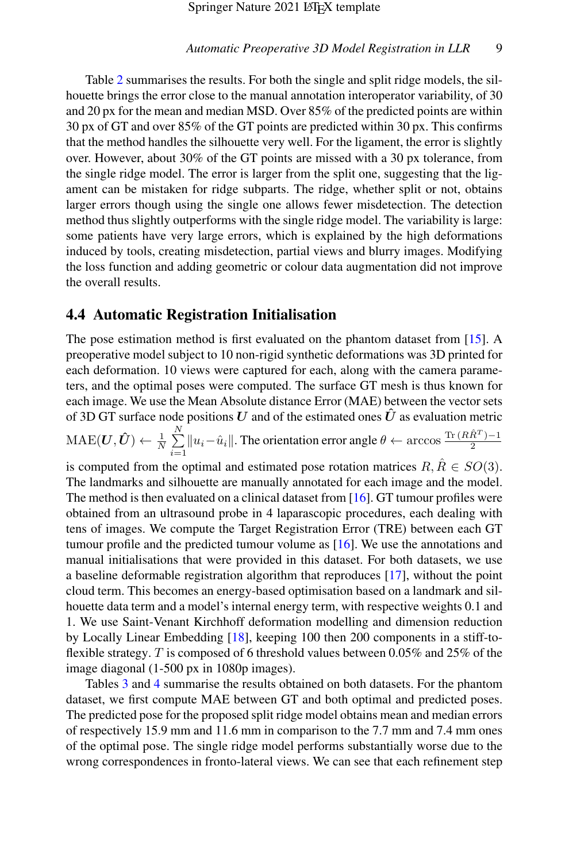Table [2](#page-7-1) summarises the results. For both the single and split ridge models, the silhouette brings the error close to the manual annotation interoperator variability, of 30 and 20 px for the mean and median MSD. Over 85% of the predicted points are within 30 px of GT and over 85% of the GT points are predicted within 30 px. This confirms that the method handles the silhouette very well. For the ligament, the error is slightly over. However, about 30% of the GT points are missed with a 30 px tolerance, from the single ridge model. The error is larger from the split one, suggesting that the ligament can be mistaken for ridge subparts. The ridge, whether split or not, obtains larger errors though using the single one allows fewer misdetection. The detection method thus slightly outperforms with the single ridge model. The variability is large: some patients have very large errors, which is explained by the high deformations induced by tools, creating misdetection, partial views and blurry images. Modifying the loss function and adding geometric or colour data augmentation did not improve the overall results.

#### 4.4 Automatic Registration Initialisation

The pose estimation method is first evaluated on the phantom dataset from [\[15\]](#page-11-7). A preoperative model subject to 10 non-rigid synthetic deformations was 3D printed for each deformation. 10 views were captured for each, along with the camera parameters, and the optimal poses were computed. The surface GT mesh is thus known for each image. We use the Mean Absolute distance Error (MAE) between the vector sets of 3D GT surface node positions U and of the estimated ones  $\hat{U}$  as evaluation metric  $\text{MAE}(\boldsymbol{U}, \boldsymbol{\hat{U}}) \leftarrow \frac{1}{N} \sum\limits_{i=1}^N$  $\sum_{i=1}^{N} ||u_i - \hat{u}_i||$ . The orientation error angle  $\theta \leftarrow \arccos \frac{\text{Tr}(R\hat{R}^T) - 1}{2}$ 2 is computed from the optimal and estimated pose rotation matrices  $R, \overline{R} \in SO(3)$ . The landmarks and silhouette are manually annotated for each image and the model. The method is then evaluated on a clinical dataset from [\[16\]](#page-11-8). GT tumour profiles were obtained from an ultrasound probe in 4 laparascopic procedures, each dealing with tens of images. We compute the Target Registration Error (TRE) between each GT tumour profile and the predicted tumour volume as [\[16\]](#page-11-8). We use the annotations and manual initialisations that were provided in this dataset. For both datasets, we use a baseline deformable registration algorithm that reproduces [\[17\]](#page-11-9), without the point cloud term. This becomes an energy-based optimisation based on a landmark and silhouette data term and a model's internal energy term, with respective weights 0.1 and 1. We use Saint-Venant Kirchhoff deformation modelling and dimension reduction by Locally Linear Embedding [\[18\]](#page-11-10), keeping 100 then 200 components in a stiff-toflexible strategy. T is composed of 6 threshold values between 0.05% and 25% of the image diagonal (1-500 px in 1080p images).

Tables [3](#page-9-0) and [4](#page-10-7) summarise the results obtained on both datasets. For the phantom dataset, we first compute MAE between GT and both optimal and predicted poses. The predicted pose for the proposed split ridge model obtains mean and median errors of respectively 15.9 mm and 11.6 mm in comparison to the 7.7 mm and 7.4 mm ones of the optimal pose. The single ridge model performs substantially worse due to the wrong correspondences in fronto-lateral views. We can see that each refinement step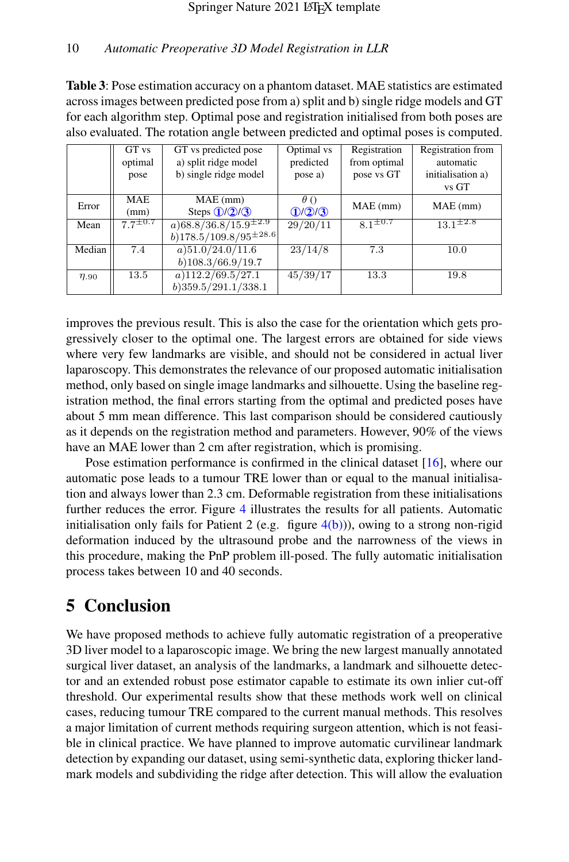<span id="page-9-0"></span>Table 3: Pose estimation accuracy on a phantom dataset. MAE statistics are estimated across images between predicted pose from a) split and b) single ridge models and GT for each algorithm step. Optimal pose and registration initialised from both poses are also evaluated. The rotation angle between predicted and optimal poses is computed.

|              | GT vs         | GT vs predicted pose                                | Optimal vs  | Registration   | Registration from |  |
|--------------|---------------|-----------------------------------------------------|-------------|----------------|-------------------|--|
|              | optimal       | a) split ridge model                                | predicted   | from optimal   | automatic         |  |
|              | pose          | b) single ridge model                               | pose a)     | pose vs GT     | initialisation a) |  |
|              |               |                                                     |             |                | vs GT             |  |
| Error        | <b>MAE</b>    | $MAE$ (mm)                                          | $\theta$ () | $MAE$ (mm)     | $MAE$ (mm)        |  |
| (mm)         |               | Steps $(1/2)/3$                                     | 1/2/3       |                |                   |  |
| Mean         | $77^{\pm0.7}$ | $(a)$ 68.8/36.8/15.9 <sup><math>\pm</math>2.9</sup> | 29/20/11    | $81^{\pm 0.7}$ | $13.1^{\pm2.8}$   |  |
|              |               | $b)$ 178.5/109.8/95 <sup><math>\pm</math>28.6</sup> |             |                |                   |  |
| Median       | 7.4           | $a)$ 51.0/24.0/11.6                                 | 23/14/8     | 7.3            | 10.0              |  |
|              |               | $b)$ 108.3/66.9/19.7                                |             |                |                   |  |
| $\eta_{.90}$ | 13.5          | $a)$ 112.2/69.5/27.1                                | 45/39/17    | 13.3           | 19.8              |  |
|              |               | $b)$ 359.5/291.1/338.1                              |             |                |                   |  |

improves the previous result. This is also the case for the orientation which gets progressively closer to the optimal one. The largest errors are obtained for side views where very few landmarks are visible, and should not be considered in actual liver laparoscopy. This demonstrates the relevance of our proposed automatic initialisation method, only based on single image landmarks and silhouette. Using the baseline registration method, the final errors starting from the optimal and predicted poses have about 5 mm mean difference. This last comparison should be considered cautiously as it depends on the registration method and parameters. However, 90% of the views have an MAE lower than 2 cm after registration, which is promising.

Pose estimation performance is confirmed in the clinical dataset [\[16\]](#page-11-8), where our automatic pose leads to a tumour TRE lower than or equal to the manual initialisation and always lower than 2.3 cm. Deformable registration from these initialisations further reduces the error. Figure [4](#page-6-1) illustrates the results for all patients. Automatic initialisation only fails for Patient 2 (e.g. figure  $4(b)$ )), owing to a strong non-rigid deformation induced by the ultrasound probe and the narrowness of the views in this procedure, making the PnP problem ill-posed. The fully automatic initialisation process takes between 10 and 40 seconds.

# 5 Conclusion

We have proposed methods to achieve fully automatic registration of a preoperative 3D liver model to a laparoscopic image. We bring the new largest manually annotated surgical liver dataset, an analysis of the landmarks, a landmark and silhouette detector and an extended robust pose estimator capable to estimate its own inlier cut-off threshold. Our experimental results show that these methods work well on clinical cases, reducing tumour TRE compared to the current manual methods. This resolves a major limitation of current methods requiring surgeon attention, which is not feasible in clinical practice. We have planned to improve automatic curvilinear landmark detection by expanding our dataset, using semi-synthetic data, exploring thicker landmark models and subdividing the ridge after detection. This will allow the evaluation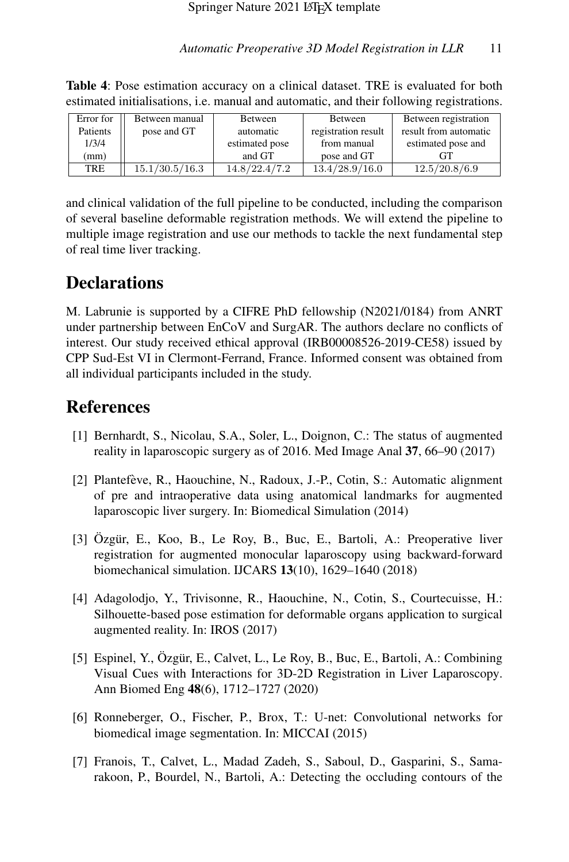| Error for | Between manual | Between        | Between             | Between registration  |
|-----------|----------------|----------------|---------------------|-----------------------|
| Patients  | pose and GT    | automatic      | registration result | result from automatic |
| 1/3/4     |                | estimated pose | from manual         | estimated pose and    |
| (mm)      |                | and GT         | pose and GT         |                       |
| TRE       | 15.1/30.5/16.3 | 14.8/22.4/7.2  | 13.4/28.9/16.0      | 12.5/20.8/6.9         |

<span id="page-10-7"></span>Table 4: Pose estimation accuracy on a clinical dataset. TRE is evaluated for both estimated initialisations, i.e. manual and automatic, and their following registrations.

and clinical validation of the full pipeline to be conducted, including the comparison of several baseline deformable registration methods. We will extend the pipeline to multiple image registration and use our methods to tackle the next fundamental step of real time liver tracking.

# **Declarations**

M. Labrunie is supported by a CIFRE PhD fellowship (N2021/0184) from ANRT under partnership between EnCoV and SurgAR. The authors declare no conflicts of interest. Our study received ethical approval (IRB00008526-2019-CE58) issued by CPP Sud-Est VI in Clermont-Ferrand, France. Informed consent was obtained from all individual participants included in the study.

# **References**

- <span id="page-10-0"></span>[1] Bernhardt, S., Nicolau, S.A., Soler, L., Doignon, C.: The status of augmented reality in laparoscopic surgery as of 2016. Med Image Anal 37, 66–90 (2017)
- <span id="page-10-1"></span>[2] Plantefeve, R., Haouchine, N., Radoux, J.-P., Cotin, S.: Automatic alignment ` of pre and intraoperative data using anatomical landmarks for augmented laparoscopic liver surgery. In: Biomedical Simulation (2014)
- <span id="page-10-2"></span> $[3]$  Özgür, E., Koo, B., Le Roy, B., Buc, E., Bartoli, A.: Preoperative liver registration for augmented monocular laparoscopy using backward-forward biomechanical simulation. IJCARS 13(10), 1629–1640 (2018)
- <span id="page-10-3"></span>[4] Adagolodjo, Y., Trivisonne, R., Haouchine, N., Cotin, S., Courtecuisse, H.: Silhouette-based pose estimation for deformable organs application to surgical augmented reality. In: IROS (2017)
- <span id="page-10-4"></span>[5] Espinel, Y., Ozgür, E., Calvet, L., Le Roy, B., Buc, E., Bartoli, A.: Combining Visual Cues with Interactions for 3D-2D Registration in Liver Laparoscopy. Ann Biomed Eng 48(6), 1712–1727 (2020)
- <span id="page-10-5"></span>[6] Ronneberger, O., Fischer, P., Brox, T.: U-net: Convolutional networks for biomedical image segmentation. In: MICCAI (2015)
- <span id="page-10-6"></span>[7] Franois, T., Calvet, L., Madad Zadeh, S., Saboul, D., Gasparini, S., Samarakoon, P., Bourdel, N., Bartoli, A.: Detecting the occluding contours of the